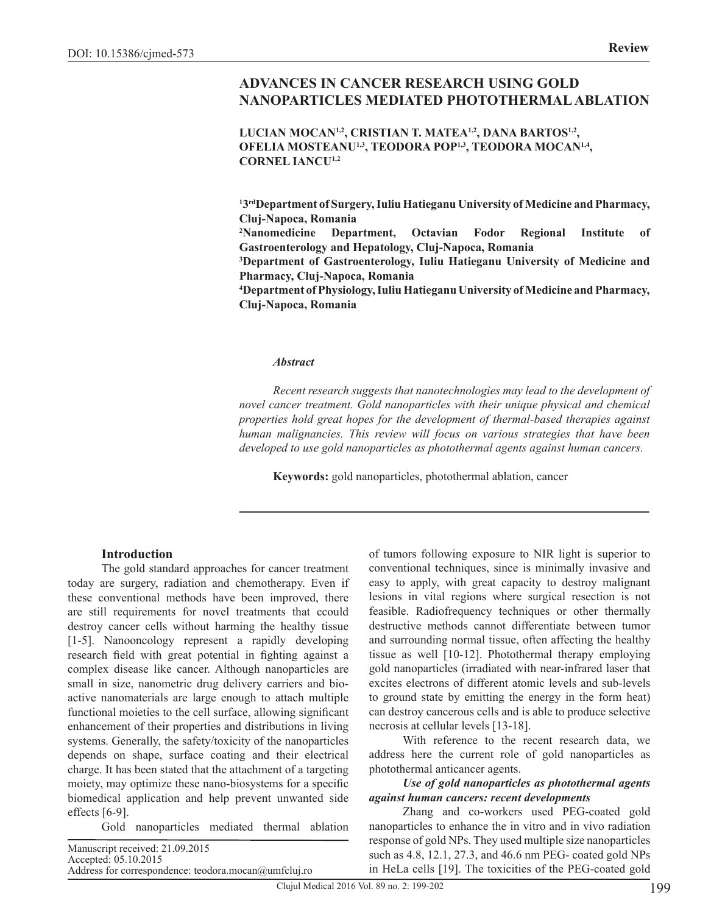# **ADVANCES IN CANCER RESEARCH USING GOLD NANOPARTICLES MEDIATED PHOTOTHERMAL ABLATION**

LUCIAN MOCAN<sup>1,2</sup>, CRISTIAN T. MATEA<sup>1,2</sup>, DANA BARTOS<sup>1,2</sup>, OFELIA MOSTEANU<sup>1,3</sup>, TEODORA POP<sup>1,3</sup>, TEODORA MOCAN<sup>1,4</sup>, **CORNEL IANCU1,2**

**1 3rdDepartment of Surgery, Iuliu Hatieganu University of Medicine and Pharmacy, Cluj-Napoca, Romania** 

**2 Nanomedicine Department, Octavian Fodor Regional Institute of Gastroenterology and Hepatology, Cluj-Napoca, Romania**

**3 Department of Gastroenterology, Iuliu Hatieganu University of Medicine and Pharmacy, Cluj-Napoca, Romania** 

**4 Department of Physiology, Iuliu Hatieganu University of Medicine and Pharmacy, Cluj-Napoca, Romania** 

#### *Abstract*

*Recent research suggests that nanotechnologies may lead to the development of novel cancer treatment. Gold nanoparticles with their unique physical and chemical properties hold great hopes for the development of thermal-based therapies against human malignancies. This review will focus on various strategies that have been developed to use gold nanoparticles as photothermal agents against human cancers.*

**Keywords:** gold nanoparticles, photothermal ablation, cancer

#### **Introduction**

The gold standard approaches for cancer treatment today are surgery, radiation and chemotherapy. Even if these conventional methods have been improved, there are still requirements for novel treatments that ccould destroy cancer cells without harming the healthy tissue [1-5]. Nanooncology represent a rapidly developing research field with great potential in fighting against a complex disease like cancer. Although nanoparticles are small in size, nanometric drug delivery carriers and bioactive nanomaterials are large enough to attach multiple functional moieties to the cell surface, allowing significant enhancement of their properties and distributions in living systems. Generally, the safety/toxicity of the nanoparticles depends on shape, surface coating and their electrical charge. It has been stated that the attachment of a targeting moiety, may optimize these nano-biosystems for a specific biomedical application and help prevent unwanted side effects [6-9].

Gold nanoparticles mediated thermal ablation

| Manuscript received: 21.09.2015                      |
|------------------------------------------------------|
| Accepted: 05.10.2015                                 |
| Address for correspondence: teodora.mocan@umfcluj.ro |

of tumors following exposure to NIR light is superior to conventional techniques, since is minimally invasive and easy to apply, with great capacity to destroy malignant lesions in vital regions where surgical resection is not feasible. Radiofrequency techniques or other thermally destructive methods cannot differentiate between tumor and surrounding normal tissue, often affecting the healthy tissue as well [10-12]. Photothermal therapy employing gold nanoparticles (irradiated with near-infrared laser that excites electrons of different atomic levels and sub-levels to ground state by emitting the energy in the form heat) can destroy cancerous cells and is able to produce selective necrosis at cellular levels [13-18].

With reference to the recent research data, we address here the current role of gold nanoparticles as photothermal anticancer agents.

### *Use of gold nanoparticles as photothermal agents against human cancers: recent developments*

Zhang and co-workers used PEG-coated gold nanoparticles to enhance the in vitro and in vivo radiation response of gold NPs. They used multiple size nanoparticles such as 4.8, 12.1, 27.3, and 46.6 nm PEG- coated gold NPs in HeLa cells [19]. The toxicities of the PEG-coated gold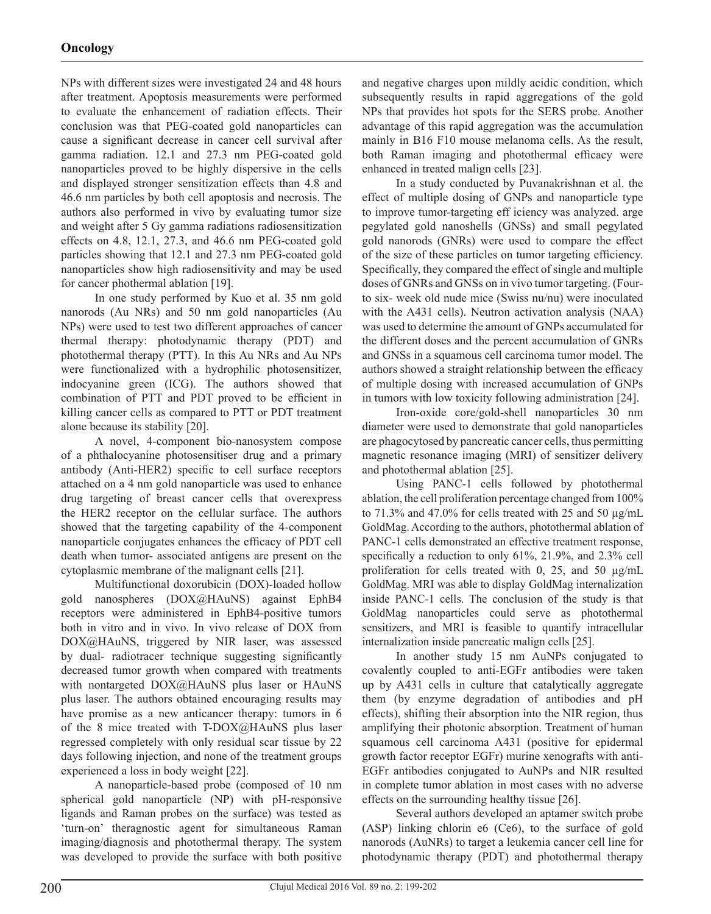NPs with different sizes were investigated 24 and 48 hours after treatment. Apoptosis measurements were performed to evaluate the enhancement of radiation effects. Their conclusion was that PEG-coated gold nanoparticles can cause a significant decrease in cancer cell survival after gamma radiation. 12.1 and 27.3 nm PEG-coated gold nanoparticles proved to be highly dispersive in the cells and displayed stronger sensitization effects than 4.8 and 46.6 nm particles by both cell apoptosis and necrosis. The authors also performed in vivo by evaluating tumor size and weight after 5 Gy gamma radiations radiosensitization effects on 4.8, 12.1, 27.3, and 46.6 nm PEG-coated gold particles showing that 12.1 and 27.3 nm PEG-coated gold nanoparticles show high radiosensitivity and may be used for cancer phothermal ablation [19].

In one study performed by Kuo et al. 35 nm gold nanorods (Au NRs) and 50 nm gold nanoparticles (Au NPs) were used to test two different approaches of cancer thermal therapy: photodynamic therapy (PDT) and photothermal therapy (PTT). In this Au NRs and Au NPs were functionalized with a hydrophilic photosensitizer, indocyanine green (ICG). The authors showed that combination of PTT and PDT proved to be efficient in killing cancer cells as compared to PTT or PDT treatment alone because its stability [20].

A novel, 4-component bio-nanosystem compose of a phthalocyanine photosensitiser drug and a primary antibody (Anti-HER2) specific to cell surface receptors attached on a 4 nm gold nanoparticle was used to enhance drug targeting of breast cancer cells that overexpress the HER2 receptor on the cellular surface. The authors showed that the targeting capability of the 4-component nanoparticle conjugates enhances the efficacy of PDT cell death when tumor- associated antigens are present on the cytoplasmic membrane of the malignant cells [21].

Multifunctional doxorubicin (DOX)-loaded hollow gold nanospheres (DOX@HAuNS) against EphB4 receptors were administered in EphB4-positive tumors both in vitro and in vivo. In vivo release of DOX from DOX@HAuNS, triggered by NIR laser, was assessed by dual- radiotracer technique suggesting significantly decreased tumor growth when compared with treatments with nontargeted DOX@HAuNS plus laser or HAuNS plus laser. The authors obtained encouraging results may have promise as a new anticancer therapy: tumors in 6 of the 8 mice treated with T-DOX@HAuNS plus laser regressed completely with only residual scar tissue by 22 days following injection, and none of the treatment groups experienced a loss in body weight [22].

A nanoparticle-based probe (composed of 10 nm spherical gold nanoparticle (NP) with pH-responsive ligands and Raman probes on the surface) was tested as 'turn-on' theragnostic agent for simultaneous Raman imaging/diagnosis and photothermal therapy. The system was developed to provide the surface with both positive

and negative charges upon mildly acidic condition, which subsequently results in rapid aggregations of the gold NPs that provides hot spots for the SERS probe. Another advantage of this rapid aggregation was the accumulation mainly in B16 F10 mouse melanoma cells. As the result, both Raman imaging and photothermal efficacy were enhanced in treated malign cells [23].

In a study conducted by Puvanakrishnan et al. the effect of multiple dosing of GNPs and nanoparticle type to improve tumor-targeting eff iciency was analyzed. arge pegylated gold nanoshells (GNSs) and small pegylated gold nanorods (GNRs) were used to compare the effect of the size of these particles on tumor targeting efficiency. Specifically, they compared the effect of single and multiple doses of GNRs and GNSs on in vivo tumor targeting. (Fourto six- week old nude mice (Swiss nu/nu) were inoculated with the A431 cells). Neutron activation analysis (NAA) was used to determine the amount of GNPs accumulated for the different doses and the percent accumulation of GNRs and GNSs in a squamous cell carcinoma tumor model. The authors showed a straight relationship between the efficacy of multiple dosing with increased accumulation of GNPs in tumors with low toxicity following administration [24].

Iron-oxide core/gold-shell nanoparticles 30 nm diameter were used to demonstrate that gold nanoparticles are phagocytosed by pancreatic cancer cells, thus permitting magnetic resonance imaging (MRI) of sensitizer delivery and photothermal ablation [25].

Using PANC-1 cells followed by photothermal ablation, the cell proliferation percentage changed from 100% to 71.3% and 47.0% for cells treated with 25 and 50 µg/mL GoldMag. According to the authors, photothermal ablation of PANC-1 cells demonstrated an effective treatment response, specifically a reduction to only 61%, 21.9%, and 2.3% cell proliferation for cells treated with 0, 25, and 50 µg/mL GoldMag. MRI was able to display GoldMag internalization inside PANC-1 cells. The conclusion of the study is that GoldMag nanoparticles could serve as photothermal sensitizers, and MRI is feasible to quantify intracellular internalization inside pancreatic malign cells [25].

In another study 15 nm AuNPs conjugated to covalently coupled to anti-EGFr antibodies were taken up by A431 cells in culture that catalytically aggregate them (by enzyme degradation of antibodies and pH effects), shifting their absorption into the NIR region, thus amplifying their photonic absorption. Treatment of human squamous cell carcinoma A431 (positive for epidermal growth factor receptor EGFr) murine xenografts with anti-EGFr antibodies conjugated to AuNPs and NIR resulted in complete tumor ablation in most cases with no adverse effects on the surrounding healthy tissue [26].

Several authors developed an aptamer switch probe (ASP) linking chlorin e6 (Ce6), to the surface of gold nanorods (AuNRs) to target a leukemia cancer cell line for photodynamic therapy (PDT) and photothermal therapy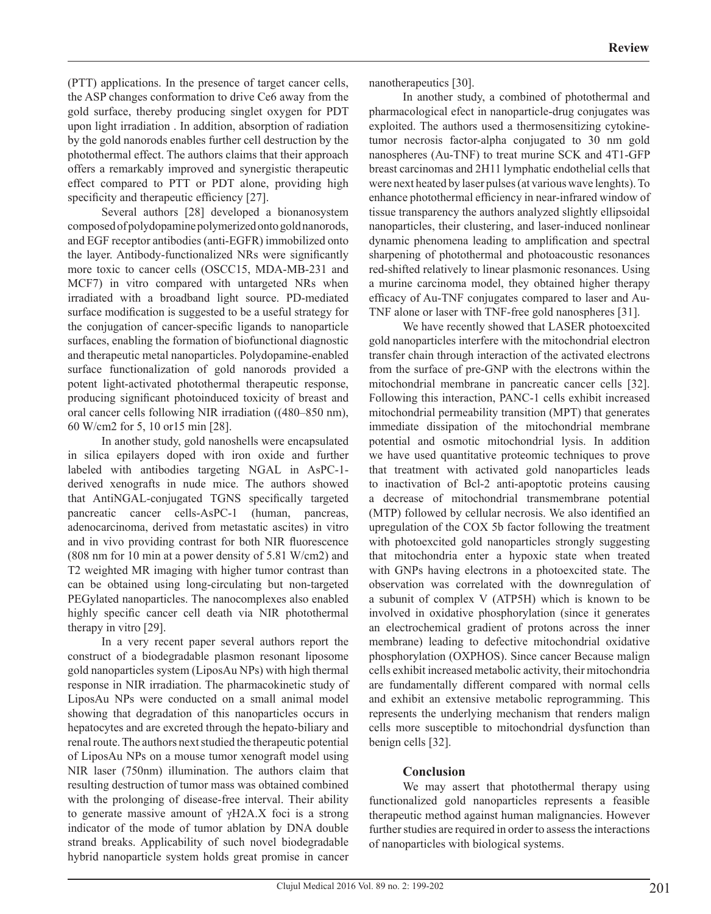(PTT) applications. In the presence of target cancer cells, the ASP changes conformation to drive Ce6 away from the gold surface, thereby producing singlet oxygen for PDT upon light irradiation . In addition, absorption of radiation by the gold nanorods enables further cell destruction by the photothermal effect. The authors claims that their approach offers a remarkably improved and synergistic therapeutic effect compared to PTT or PDT alone, providing high specificity and therapeutic efficiency [27].

Several authors [28] developed a bionanosystem composed of polydopamine polymerized onto gold nanorods, and EGF receptor antibodies (anti-EGFR) immobilized onto the layer. Antibody-functionalized NRs were significantly more toxic to cancer cells (OSCC15, MDA-MB-231 and MCF7) in vitro compared with untargeted NRs when irradiated with a broadband light source. PD-mediated surface modification is suggested to be a useful strategy for the conjugation of cancer-specific ligands to nanoparticle surfaces, enabling the formation of biofunctional diagnostic and therapeutic metal nanoparticles. Polydopamine-enabled surface functionalization of gold nanorods provided a potent light-activated photothermal therapeutic response, producing significant photoinduced toxicity of breast and oral cancer cells following NIR irradiation ((480–850 nm), 60 W/cm2 for 5, 10 or15 min [28].

In another study, gold nanoshells were encapsulated in silica epilayers doped with iron oxide and further labeled with antibodies targeting NGAL in AsPC-1 derived xenografts in nude mice. The authors showed that AntiNGAL-conjugated TGNS specifically targeted pancreatic cancer cells-AsPC-1 (human, pancreas, adenocarcinoma, derived from metastatic ascites) in vitro and in vivo providing contrast for both NIR fluorescence (808 nm for 10 min at a power density of 5.81 W/cm2) and T2 weighted MR imaging with higher tumor contrast than can be obtained using long-circulating but non-targeted PEGylated nanoparticles. The nanocomplexes also enabled highly specific cancer cell death via NIR photothermal therapy in vitro [29].

In a very recent paper several authors report the construct of a biodegradable plasmon resonant liposome gold nanoparticles system (LiposAu NPs) with high thermal response in NIR irradiation. The pharmacokinetic study of LiposAu NPs were conducted on a small animal model showing that degradation of this nanoparticles occurs in hepatocytes and are excreted through the hepato-biliary and renal route. The authors next studied the therapeutic potential of LiposAu NPs on a mouse tumor xenograft model using NIR laser (750nm) illumination. The authors claim that resulting destruction of tumor mass was obtained combined with the prolonging of disease-free interval. Their ability to generate massive amount of γH2A.X foci is a strong indicator of the mode of tumor ablation by DNA double strand breaks. Applicability of such novel biodegradable hybrid nanoparticle system holds great promise in cancer

nanotherapeutics [30].

In another study, a combined of photothermal and pharmacological efect in nanoparticle-drug conjugates was exploited. The authors used a thermosensitizing cytokinetumor necrosis factor-alpha conjugated to 30 nm gold nanospheres (Au-TNF) to treat murine SCK and 4T1-GFP breast carcinomas and 2H11 lymphatic endothelial cells that were next heated by laser pulses (at various wave lenghts). To enhance photothermal efficiency in near-infrared window of tissue transparency the authors analyzed slightly ellipsoidal nanoparticles, their clustering, and laser-induced nonlinear dynamic phenomena leading to amplification and spectral sharpening of photothermal and photoacoustic resonances red-shifted relatively to linear plasmonic resonances. Using a murine carcinoma model, they obtained higher therapy efficacy of Au-TNF conjugates compared to laser and Au-TNF alone or laser with TNF-free gold nanospheres [31].

We have recently showed that LASER photoexcited gold nanoparticles interfere with the mitochondrial electron transfer chain through interaction of the activated electrons from the surface of pre-GNP with the electrons within the mitochondrial membrane in pancreatic cancer cells [32]. Following this interaction, PANC-1 cells exhibit increased mitochondrial permeability transition (MPT) that generates immediate dissipation of the mitochondrial membrane potential and osmotic mitochondrial lysis. In addition we have used quantitative proteomic techniques to prove that treatment with activated gold nanoparticles leads to inactivation of Bcl-2 anti-apoptotic proteins causing a decrease of mitochondrial transmembrane potential (MTP) followed by cellular necrosis. We also identified an upregulation of the COX 5b factor following the treatment with photoexcited gold nanoparticles strongly suggesting that mitochondria enter a hypoxic state when treated with GNPs having electrons in a photoexcited state. The observation was correlated with the downregulation of a subunit of complex V (ATP5H) which is known to be involved in oxidative phosphorylation (since it generates an electrochemical gradient of protons across the inner membrane) leading to defective mitochondrial oxidative phosphorylation (OXPHOS). Since cancer Because malign cells exhibit increased metabolic activity, their mitochondria are fundamentally different compared with normal cells and exhibit an extensive metabolic reprogramming. This represents the underlying mechanism that renders malign cells more susceptible to mitochondrial dysfunction than benign cells [32].

# **Conclusion**

We may assert that photothermal therapy using functionalized gold nanoparticles represents a feasible therapeutic method against human malignancies. However further studies are required in order to assess the interactions of nanoparticles with biological systems.